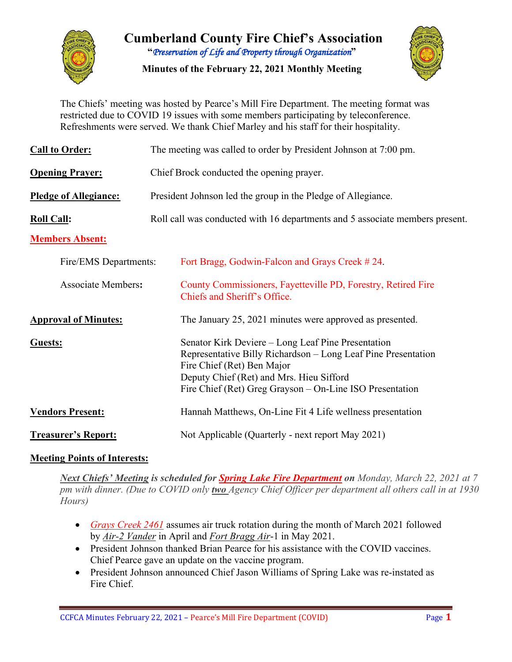

**Cumberland County Fire Chief's Association "***Preservation of Life and Property through Organization***"**

**Minutes of the February 22, 2021 Monthly Meeting**



The Chiefs' meeting was hosted by Pearce's Mill Fire Department. The meeting format was restricted due to COVID 19 issues with some members participating by teleconference. Refreshments were served. We thank Chief Marley and his staff for their hospitality.

| <b>Call to Order:</b>        | The meeting was called to order by President Johnson at 7:00 pm.                                                                                                                                                                                          |  |  |  |  |  |  |  |  |
|------------------------------|-----------------------------------------------------------------------------------------------------------------------------------------------------------------------------------------------------------------------------------------------------------|--|--|--|--|--|--|--|--|
| <b>Opening Prayer:</b>       | Chief Brock conducted the opening prayer.                                                                                                                                                                                                                 |  |  |  |  |  |  |  |  |
| <b>Pledge of Allegiance:</b> | President Johnson led the group in the Pledge of Allegiance.                                                                                                                                                                                              |  |  |  |  |  |  |  |  |
| <b>Roll Call:</b>            | Roll call was conducted with 16 departments and 5 associate members present.                                                                                                                                                                              |  |  |  |  |  |  |  |  |
| <b>Members Absent:</b>       |                                                                                                                                                                                                                                                           |  |  |  |  |  |  |  |  |
| Fire/EMS Departments:        | Fort Bragg, Godwin-Falcon and Grays Creek #24.                                                                                                                                                                                                            |  |  |  |  |  |  |  |  |
| <b>Associate Members:</b>    | County Commissioners, Fayetteville PD, Forestry, Retired Fire<br>Chiefs and Sheriff's Office.                                                                                                                                                             |  |  |  |  |  |  |  |  |
| <b>Approval of Minutes:</b>  | The January 25, 2021 minutes were approved as presented.                                                                                                                                                                                                  |  |  |  |  |  |  |  |  |
| <b>Guests:</b>               | Senator Kirk Deviere – Long Leaf Pine Presentation<br>Representative Billy Richardson – Long Leaf Pine Presentation<br>Fire Chief (Ret) Ben Major<br>Deputy Chief (Ret) and Mrs. Hieu Sifford<br>Fire Chief (Ret) Greg Grayson – On-Line ISO Presentation |  |  |  |  |  |  |  |  |
| <b>Vendors Present:</b>      | Hannah Matthews, On-Line Fit 4 Life wellness presentation                                                                                                                                                                                                 |  |  |  |  |  |  |  |  |
| <b>Treasurer's Report:</b>   | Not Applicable (Quarterly - next report May 2021)                                                                                                                                                                                                         |  |  |  |  |  |  |  |  |

## **Meeting Points of Interests:**

*Next Chiefs' Meeting is scheduled for Spring Lake Fire Department on Monday, March 22, 2021 at 7 pm with dinner. (Due to COVID only two Agency Chief Officer per department all others call in at 1930 Hours)*

- *Grays Creek 2461* assumes air truck rotation during the month of March 2021 followed by *Air-2 Vander* in April and *Fort Bragg Air*-1 in May 2021.
- President Johnson thanked Brian Pearce for his assistance with the COVID vaccines. Chief Pearce gave an update on the vaccine program.
- President Johnson announced Chief Jason Williams of Spring Lake was re-instated as Fire Chief.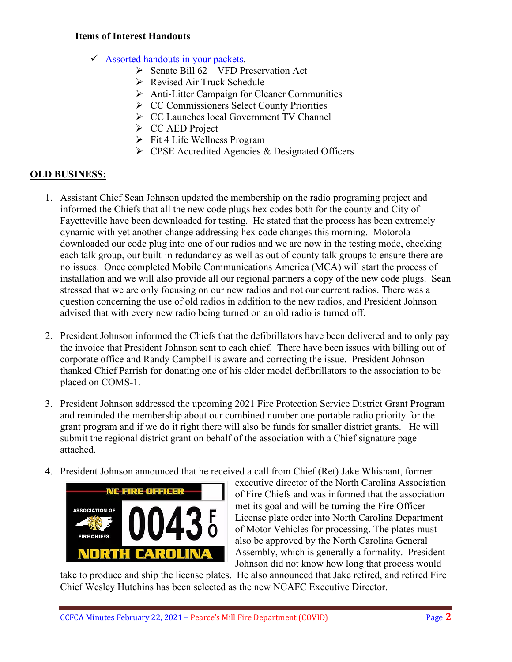### **Items of Interest Handouts**

- $\checkmark$  Assorted handouts in your packets.
	- $\triangleright$  Senate Bill 62 VFD Preservation Act
	- Revised Air Truck Schedule
	- Anti-Litter Campaign for Cleaner Communities
	- **► CC Commissioners Select County Priorities**
	- CC Launches local Government TV Channel
	- $\triangleright$  CC AED Project
	- $\triangleright$  Fit 4 Life Wellness Program
	- $\triangleright$  CPSE Accredited Agencies & Designated Officers

## **OLD BUSINESS:**

- 1. Assistant Chief Sean Johnson updated the membership on the radio programing project and informed the Chiefs that all the new code plugs hex codes both for the county and City of Fayetteville have been downloaded for testing. He stated that the process has been extremely dynamic with yet another change addressing hex code changes this morning. Motorola downloaded our code plug into one of our radios and we are now in the testing mode, checking each talk group, our built-in redundancy as well as out of county talk groups to ensure there are no issues. Once completed Mobile Communications America (MCA) will start the process of installation and we will also provide all our regional partners a copy of the new code plugs. Sean stressed that we are only focusing on our new radios and not our current radios. There was a question concerning the use of old radios in addition to the new radios, and President Johnson advised that with every new radio being turned on an old radio is turned off.
- 2. President Johnson informed the Chiefs that the defibrillators have been delivered and to only pay the invoice that President Johnson sent to each chief. There have been issues with billing out of corporate office and Randy Campbell is aware and correcting the issue. President Johnson thanked Chief Parrish for donating one of his older model defibrillators to the association to be placed on COMS-1.
- 3. President Johnson addressed the upcoming 2021 Fire Protection Service District Grant Program and reminded the membership about our combined number one portable radio priority for the grant program and if we do it right there will also be funds for smaller district grants. He will submit the regional district grant on behalf of the association with a Chief signature page attached.
- 4. President Johnson announced that he received a call from Chief (Ret) Jake Whisnant, former



executive director of the North Carolina Association of Fire Chiefs and was informed that the association met its goal and will be turning the Fire Officer License plate order into North Carolina Department of Motor Vehicles for processing. The plates must also be approved by the North Carolina General Assembly, which is generally a formality. President Johnson did not know how long that process would

take to produce and ship the license plates. He also announced that Jake retired, and retired Fire Chief Wesley Hutchins has been selected as the new NCAFC Executive Director.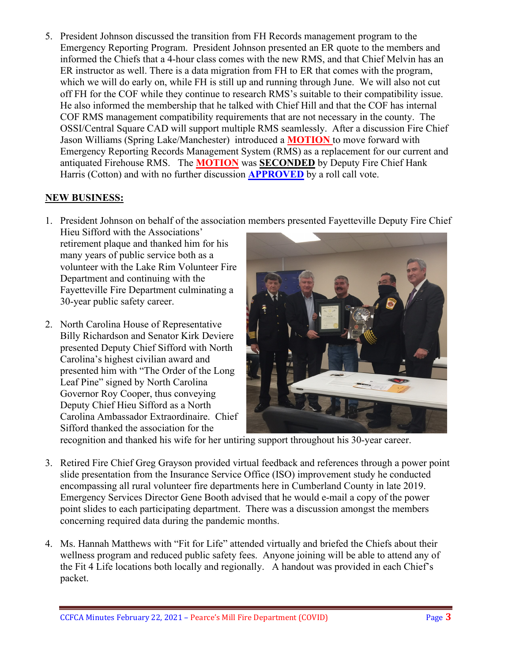5. President Johnson discussed the transition from FH Records management program to the Emergency Reporting Program. President Johnson presented an ER quote to the members and informed the Chiefs that a 4-hour class comes with the new RMS, and that Chief Melvin has an ER instructor as well. There is a data migration from FH to ER that comes with the program, which we will do early on, while FH is still up and running through June. We will also not cut off FH for the COF while they continue to research RMS's suitable to their compatibility issue. He also informed the membership that he talked with Chief Hill and that the COF has internal COF RMS management compatibility requirements that are not necessary in the county. The OSSI/Central Square CAD will support multiple RMS seamlessly. After a discussion Fire Chief Jason Williams (Spring Lake/Manchester) introduced a **MOTION** to move forward with Emergency Reporting Records Management System (RMS) as a replacement for our current and antiquated Firehouse RMS. The **MOTION** was **SECONDED** by Deputy Fire Chief Hank Harris (Cotton) and with no further discussion **APPROVED** by a roll call vote.

## **NEW BUSINESS:**

1. President Johnson on behalf of the association members presented Fayetteville Deputy Fire Chief

Hieu Sifford with the Associations' retirement plaque and thanked him for his many years of public service both as a volunteer with the Lake Rim Volunteer Fire Department and continuing with the Fayetteville Fire Department culminating a 30-year public safety career.

2. North Carolina House of Representative Billy Richardson and Senator Kirk Deviere presented Deputy Chief Sifford with North Carolina's highest civilian award and presented him with "The Order of the Long Leaf Pine" signed by North Carolina Governor Roy Cooper, thus conveying Deputy Chief Hieu Sifford as a North Carolina Ambassador Extraordinaire. Chief Sifford thanked the association for the



recognition and thanked his wife for her untiring support throughout his 30-year career.

- 3. Retired Fire Chief Greg Grayson provided virtual feedback and references through a power point slide presentation from the Insurance Service Office (ISO) improvement study he conducted encompassing all rural volunteer fire departments here in Cumberland County in late 2019. Emergency Services Director Gene Booth advised that he would e-mail a copy of the power point slides to each participating department. There was a discussion amongst the members concerning required data during the pandemic months.
- 4. Ms. Hannah Matthews with "Fit for Life" attended virtually and briefed the Chiefs about their wellness program and reduced public safety fees. Anyone joining will be able to attend any of the Fit 4 Life locations both locally and regionally. A handout was provided in each Chief's packet.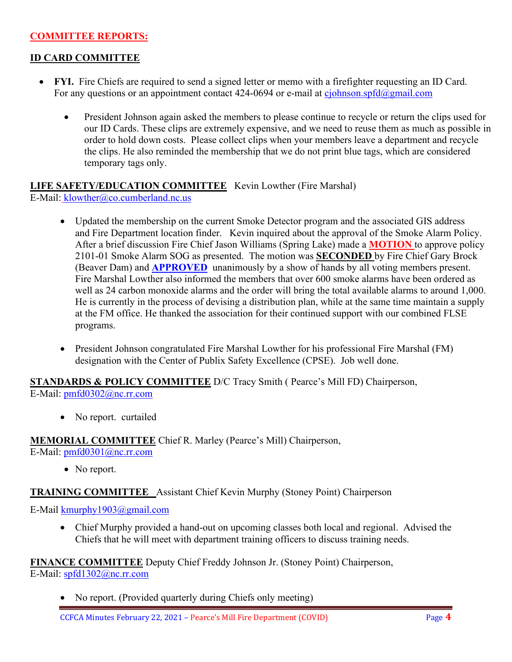### **COMMITTEE REPORTS:**

### **ID CARD COMMITTEE**

- **FYI.** Fire Chiefs are required to send a signed letter or memo with a firefighter requesting an ID Card. For any questions or an appointment contact 424-0694 or e-mail at [cjohnson.spfd@gmail.com](mailto:cjohnson.spfd@gmail.com)
	- President Johnson again asked the members to please continue to recycle or return the clips used for our ID Cards. These clips are extremely expensive, and we need to reuse them as much as possible in order to hold down costs. Please collect clips when your members leave a department and recycle the clips. He also reminded the membership that we do not print blue tags, which are considered temporary tags only.

### **LIFE SAFETY/EDUCATION COMMITTEE** Kevin Lowther (Fire Marshal) E-Mail: [klowther@co.cumberland.nc.us](mailto:klowther@co.cumberland.nc.us)

- Updated the membership on the current Smoke Detector program and the associated GIS address and Fire Department location finder. Kevin inquired about the approval of the Smoke Alarm Policy. After a brief discussion Fire Chief Jason Williams (Spring Lake) made a **MOTION** to approve policy 2101-01 Smoke Alarm SOG as presented. The motion was **SECONDED** by Fire Chief Gary Brock (Beaver Dam) and **APPROVED** unanimously by a show of hands by all voting members present. Fire Marshal Lowther also informed the members that over 600 smoke alarms have been ordered as well as 24 carbon monoxide alarms and the order will bring the total available alarms to around 1,000. He is currently in the process of devising a distribution plan, while at the same time maintain a supply at the FM office. He thanked the association for their continued support with our combined FLSE programs.
- President Johnson congratulated Fire Marshal Lowther for his professional Fire Marshal (FM) designation with the Center of Publix Safety Excellence (CPSE). Job well done.

**STANDARDS & POLICY COMMITTEE** D/C Tracy Smith ( Pearce's Mill FD) Chairperson, E-Mail: [pmfd0302@nc.rr.com](mailto:pmfd0302@nc.rr.com)

• No report. curtailed

**MEMORIAL COMMITTEE** Chief R. Marley (Pearce's Mill) Chairperson, E-Mail: [pmfd0301@nc.rr.com](mailto:pmfd0301@nc.rr.com)

• No report.

**TRAINING COMMITTEE** Assistant Chief Kevin Murphy (Stoney Point) Chairperson

E-Mail [kmurphy1903@gmail.com](mailto:kmurphy1903@gmail.com)

• Chief Murphy provided a hand-out on upcoming classes both local and regional. Advised the Chiefs that he will meet with department training officers to discuss training needs.

**FINANCE COMMITTEE** Deputy Chief Freddy Johnson Jr. (Stoney Point) Chairperson,

E-Mail: [spfd1302@nc.rr.com](mailto:spfd1302@nc.rr.com)

• No report. (Provided quarterly during Chiefs only meeting)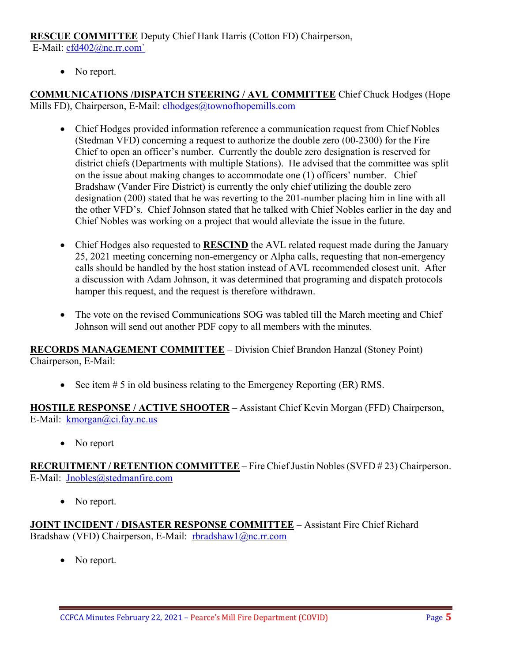# **RESCUE COMMITTEE** Deputy Chief Hank Harris (Cotton FD) Chairperson,

E-Mail: [cfd402@nc.rr.com`](mailto:cfd402@nc.rr.com)

• No report.

**COMMUNICATIONS /DISPATCH STEERING / AVL COMMITTEE** Chief Chuck Hodges (Hope Mills FD), Chairperson, E-Mail: clhodges@townofhopemills.com

- Chief Hodges provided information reference a communication request from Chief Nobles (Stedman VFD) concerning a request to authorize the double zero (00-2300) for the Fire Chief to open an officer's number. Currently the double zero designation is reserved for district chiefs (Departments with multiple Stations). He advised that the committee was split on the issue about making changes to accommodate one (1) officers' number. Chief Bradshaw (Vander Fire District) is currently the only chief utilizing the double zero designation (200) stated that he was reverting to the 201-number placing him in line with all the other VFD's. Chief Johnson stated that he talked with Chief Nobles earlier in the day and Chief Nobles was working on a project that would alleviate the issue in the future.
- Chief Hodges also requested to **RESCIND** the AVL related request made during the January 25, 2021 meeting concerning non-emergency or Alpha calls, requesting that non-emergency calls should be handled by the host station instead of AVL recommended closest unit. After a discussion with Adam Johnson, it was determined that programing and dispatch protocols hamper this request, and the request is therefore withdrawn.
- The vote on the revised Communications SOG was tabled till the March meeting and Chief Johnson will send out another PDF copy to all members with the minutes.

**RECORDS MANAGEMENT COMMITTEE** – Division Chief Brandon Hanzal (Stoney Point) Chairperson, E-Mail:

• See item # 5 in old business relating to the Emergency Reporting (ER) RMS.

**HOSTILE RESPONSE / ACTIVE SHOOTER** – Assistant Chief Kevin Morgan (FFD) Chairperson, E-Mail: [kmorgan@ci.fay.nc.us](mailto:kmorgan@ci.fay.nc.us)

• No report

**RECRUITMENT / RETENTION COMMITTEE** – Fire Chief Justin Nobles (SVFD # 23) Chairperson. E-Mail: [Jnobles@stedmanfire.com](mailto:Jnobles@stedmanfire.com)

• No report.

**JOINT INCIDENT / DISASTER RESPONSE COMMITTEE** – Assistant Fire Chief Richard Bradshaw (VFD) Chairperson, E-Mail: [rbradshaw1@nc.rr.com](mailto:rbradshaw1@nc.rr.com)

• No report.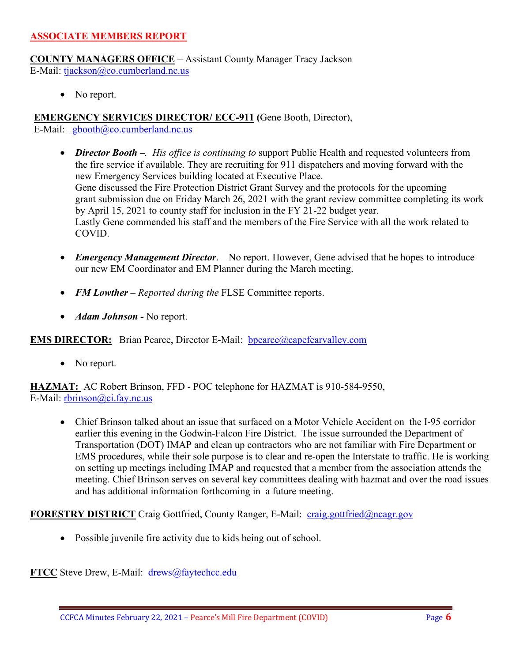#### **ASSOCIATE MEMBERS REPORT**

**COUNTY MANAGERS OFFICE** – Assistant County Manager Tracy Jackson E-Mail: [tjackson@co.cumberland.nc.us](mailto:tjackson@co.cumberland.nc.us)

• No report.

**EMERGENCY SERVICES DIRECTOR/ ECC-911 (**Gene Booth, Director),

E-Mail:  $\text{gbooth}(\widehat{a}/\text{co}.\text{cumberland}.\text{nc.us})$ 

- *Director Booth –. His office is continuing to* support Public Health and requested volunteers from the fire service if available. They are recruiting for 911 dispatchers and moving forward with the new Emergency Services building located at Executive Place. Gene discussed the Fire Protection District Grant Survey and the protocols for the upcoming grant submission due on Friday March 26, 2021 with the grant review committee completing its work by April 15, 2021 to county staff for inclusion in the FY 21-22 budget year. Lastly Gene commended his staff and the members of the Fire Service with all the work related to COVID.
- *Emergency Management Director*. No report. However, Gene advised that he hopes to introduce our new EM Coordinator and EM Planner during the March meeting.
- **FM Lowther** Reported during the FLSE Committee reports.
- *Adam Johnson -* No report.

**EMS DIRECTOR:** Brian Pearce, Director E-Mail: **bpearce@capefearvalley.com** 

• No report.

**HAZMAT:** AC Robert Brinson, FFD - POC telephone for HAZMAT is 910-584-9550, E-Mail: <u>rbrinson@ci</u>.fay.nc.us

• Chief Brinson talked about an issue that surfaced on a Motor Vehicle Accident on the I-95 corridor earlier this evening in the Godwin-Falcon Fire District. The issue surrounded the Department of Transportation (DOT) IMAP and clean up contractors who are not familiar with Fire Department or EMS procedures, while their sole purpose is to clear and re-open the Interstate to traffic. He is working on setting up meetings including IMAP and requested that a member from the association attends the meeting. Chief Brinson serves on several key committees dealing with hazmat and over the road issues and has additional information forthcoming in a future meeting.

**FORESTRY DISTRICT** Craig Gottfried, County Ranger, E-Mail: [craig.gottfried@ncagr.gov](mailto:craig.gottfried@ncagr.gov)

• Possible juvenile fire activity due to kids being out of school.

**FTCC** Steve Drew, E-Mail: [drews@faytechcc.edu](mailto:drews@faytechcc.edu)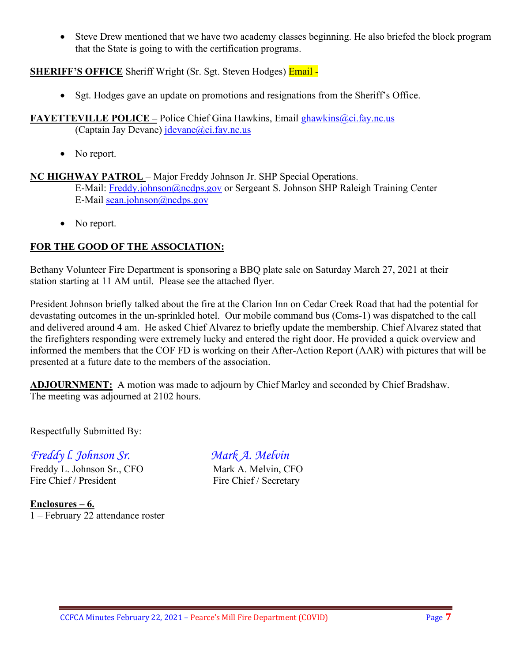• Steve Drew mentioned that we have two academy classes beginning. He also briefed the block program that the State is going to with the certification programs.

### **SHERIFF'S OFFICE** Sheriff Wright (Sr. Sgt. Steven Hodges) **Email** -

- Sgt. Hodges gave an update on promotions and resignations from the Sheriff's Office.
- **FAYETTEVILLE POLICE –** Police Chief Gina Hawkins, Email [ghawkins@ci.fay.nc.us](mailto:ghawkins@ci.fay.nc.us)  (Captain Jay Devane)  $idevane@ci.fay.nc.us$ 
	- No report.

**NC HIGHWAY PATROL** – Major Freddy Johnson Jr. SHP Special Operations. E-Mail: [Freddy.johnson@ncdps.gov](mailto:Freddy.johnson@ncdps.gov) or Sergeant S. Johnson SHP Raleigh Training Center E-Mail [sean.johnson@ncdps.gov](mailto:sean.johnson@ncdps.gov)

• No report.

### **FOR THE GOOD OF THE ASSOCIATION:**

Bethany Volunteer Fire Department is sponsoring a BBQ plate sale on Saturday March 27, 2021 at their station starting at 11 AM until. Please see the attached flyer.

President Johnson briefly talked about the fire at the Clarion Inn on Cedar Creek Road that had the potential for devastating outcomes in the un-sprinkled hotel. Our mobile command bus (Coms-1) was dispatched to the call and delivered around 4 am. He asked Chief Alvarez to briefly update the membership. Chief Alvarez stated that the firefighters responding were extremely lucky and entered the right door. He provided a quick overview and informed the members that the COF FD is working on their After-Action Report (AAR) with pictures that will be presented at a future date to the members of the association.

**ADJOURNMENT:** A motion was made to adjourn by Chief Marley and seconded by Chief Bradshaw. The meeting was adjourned at 2102 hours.

Respectfully Submitted By:

# *Freddy l. Johnson Sr. Mark A. Melvin*

Freddy L. Johnson Sr., CFO Mark A. Melvin, CFO Fire Chief / President Fire Chief / Secretary

**Enclosures – 6.** 1 – February 22 attendance roster